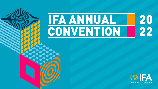# 20<br>22 **IFA ANNUAL** CONVENTION

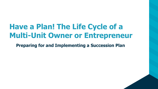# **Have a Plan! The Life Cycle of a Multi-Unit Owner or Entrepreneur**

**Preparing for and Implementing a Succession Plan**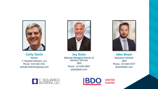

**Carty Davis** Partner C Squared Advisors, LLC Phone: 910 -528 -1931 carty@c2advisorygroup.com



**Jay Duke** National Managing Partner of Advisory Services BDO Phone: 214 -665 -0607 jduke@bdo.com



**Jake Beyer** Assurance Director BDO Phone: 214 -665 -0727 jbeyer@bdo.com



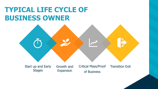## **TYPICAL LIFE CYCLE OF BUSINESS OWNER**

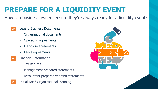# **PREPARE FOR A LIQUIDITY EVENT**

How can business owners ensure they're always ready for a liquidity event?

- Legal / Business Documents
	- − Organizational documents
	- − Operating agreements
	- − Franchise agreements
	- − Lease agreements
- Financial Information
	- − Tax Returns
	- − Management prepared statements
	- − Accountant prepared yearend statements
- Initial Tax / Organizational Planning

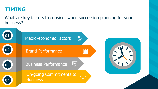### **TIMING**

What are key factors to consider when succession planning for your business?

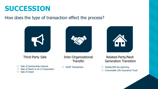### **SUCCESSION**

#### How does the type of transaction effect the process?





Third-Party Sale Inter-Organizational **Transfer** 

- $\oslash$  Sale of partnership interest
- $\oslash$  Sale of Stock in an S Corporation
- Sale of Asset  $\oslash$

 $\oslash$ ESOP Transaction



#### Related-Party/Next Generation Transition

- Estate/Gift tax planning  $\oslash$
- Irrevocable Life Insurance Trust  $\oslash$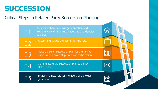## **SUCCESSION**

Critical Steps in Related Party Succession Planning

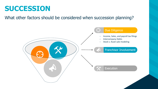### **SUCCESSION**

What other factors should be considered when succession planning?